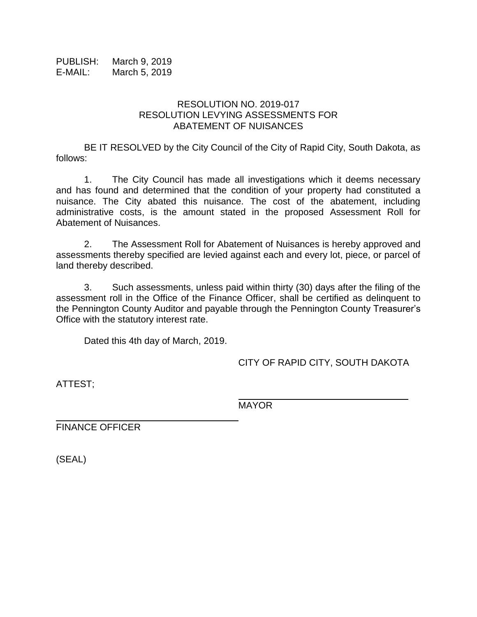PUBLISH: March 9, 2019 E-MAIL: March 5, 2019

## RESOLUTION NO. 2019-017 RESOLUTION LEVYING ASSESSMENTS FOR ABATEMENT OF NUISANCES

BE IT RESOLVED by the City Council of the City of Rapid City, South Dakota, as follows:

1. The City Council has made all investigations which it deems necessary and has found and determined that the condition of your property had constituted a nuisance. The City abated this nuisance. The cost of the abatement, including administrative costs, is the amount stated in the proposed Assessment Roll for Abatement of Nuisances.

2. The Assessment Roll for Abatement of Nuisances is hereby approved and assessments thereby specified are levied against each and every lot, piece, or parcel of land thereby described.

3. Such assessments, unless paid within thirty (30) days after the filing of the assessment roll in the Office of the Finance Officer, shall be certified as delinquent to the Pennington County Auditor and payable through the Pennington County Treasurer's Office with the statutory interest rate.

Dated this 4th day of March, 2019.

CITY OF RAPID CITY, SOUTH DAKOTA

\_\_\_\_\_\_\_\_\_\_\_\_\_\_\_\_\_\_\_\_\_\_\_\_\_\_\_\_\_\_

ATTEST;

MAYOR

FINANCE OFFICER

(SEAL)